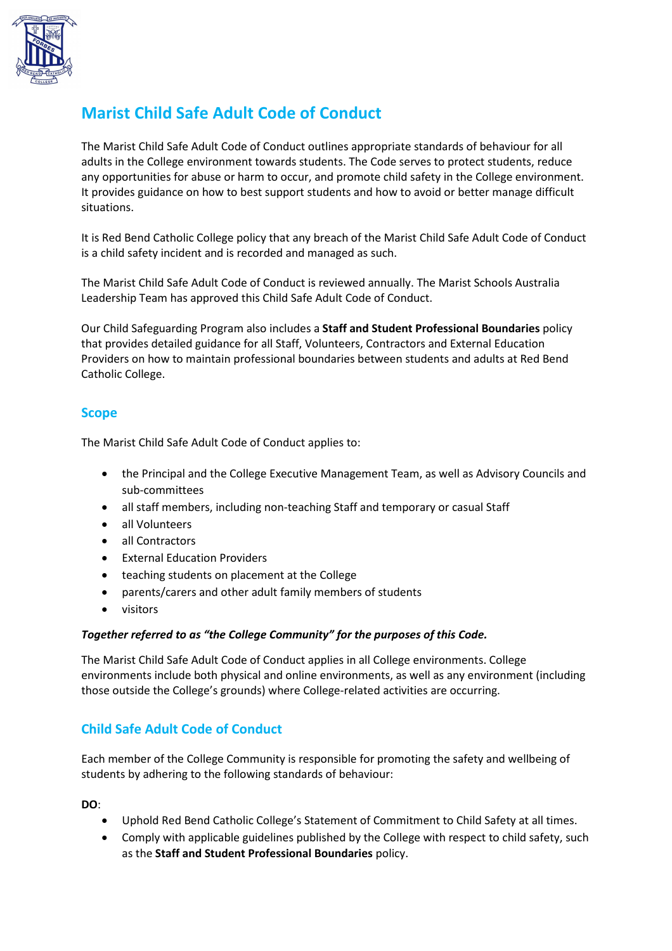

# **Marist Child Safe Adult Code of Conduct**

The Marist Child Safe Adult Code of Conduct outlines appropriate standards of behaviour for all adults in the College environment towards students. The Code serves to protect students, reduce any opportunities for abuse or harm to occur, and promote child safety in the College environment. It provides guidance on how to best support students and how to avoid or better manage difficult situations.

It is Red Bend Catholic College policy that any breach of the Marist Child Safe Adult Code of Conduct is a child safety incident and is recorded and managed as such.

The Marist Child Safe Adult Code of Conduct is reviewed annually. The Marist Schools Australia Leadership Team has approved this Child Safe Adult Code of Conduct.

Our Child Safeguarding Program also includes a **Staff and Student Professional Boundaries** policy that provides detailed guidance for all Staff, Volunteers, Contractors and External Education Providers on how to maintain professional boundaries between students and adults at Red Bend Catholic College.

### **Scope**

The Marist Child Safe Adult Code of Conduct applies to:

- the Principal and the College Executive Management Team, as well as Advisory Councils and sub-committees
- all staff members, including non-teaching Staff and temporary or casual Staff
- all Volunteers
- all Contractors
- **External Education Providers**
- teaching students on placement at the College
- parents/carers and other adult family members of students
- visitors

#### *Together referred to as "the College Community" for the purposes of this Code.*

The Marist Child Safe Adult Code of Conduct applies in all College environments. College environments include both physical and online environments, as well as any environment (including those outside the College's grounds) where College-related activities are occurring.

## **Child Safe Adult Code of Conduct**

Each member of the College Community is responsible for promoting the safety and wellbeing of students by adhering to the following standards of behaviour:

**DO**:

- Uphold Red Bend Catholic College's Statement of Commitment to Child Safety at all times.
- Comply with applicable guidelines published by the College with respect to child safety, such as the **Staff and Student Professional Boundaries** policy.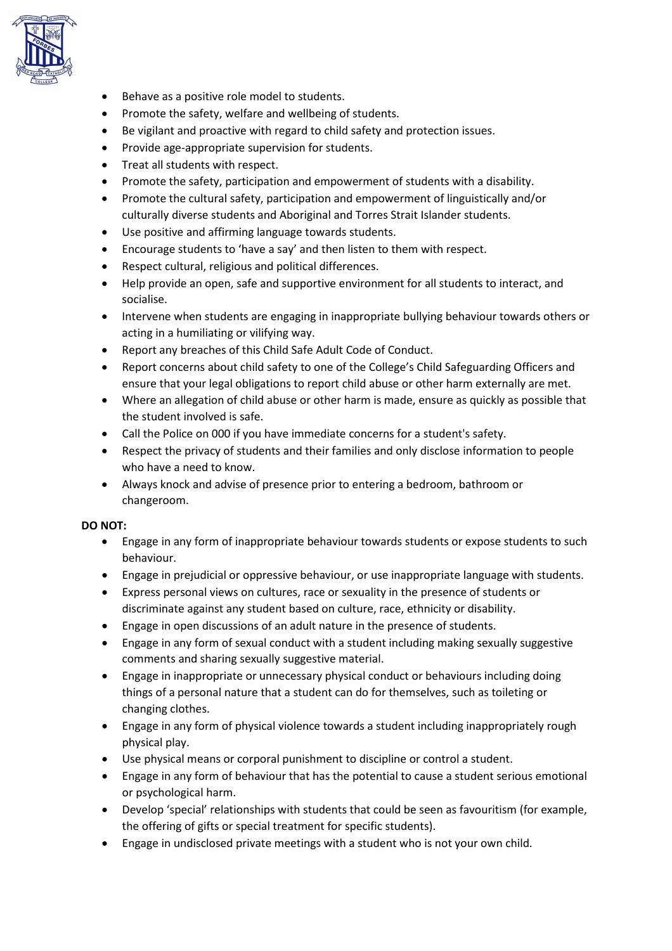

- Behave as a positive role model to students.
- Promote the safety, welfare and wellbeing of students.
- Be vigilant and proactive with regard to child safety and protection issues.
- Provide age-appropriate supervision for students.
- Treat all students with respect.
- Promote the safety, participation and empowerment of students with a disability.
- Promote the cultural safety, participation and empowerment of linguistically and/or culturally diverse students and Aboriginal and Torres Strait Islander students.
- Use positive and affirming language towards students.
- Encourage students to 'have a say' and then listen to them with respect.
- Respect cultural, religious and political differences.
- Help provide an open, safe and supportive environment for all students to interact, and socialise.
- Intervene when students are engaging in inappropriate bullying behaviour towards others or acting in a humiliating or vilifying way.
- Report any breaches of this Child Safe Adult Code of Conduct.
- Report concerns about child safety to one of the College's Child Safeguarding Officers and ensure that your legal obligations to report child abuse or other harm externally are met.
- Where an allegation of child abuse or other harm is made, ensure as quickly as possible that the student involved is safe.
- Call the Police on 000 if you have immediate concerns for a student's safety.
- Respect the privacy of students and their families and only disclose information to people who have a need to know.
- Always knock and advise of presence prior to entering a bedroom, bathroom or changeroom.

### **DO NOT:**

- Engage in any form of inappropriate behaviour towards students or expose students to such behaviour.
- Engage in prejudicial or oppressive behaviour, or use inappropriate language with students.
- Express personal views on cultures, race or sexuality in the presence of students or discriminate against any student based on culture, race, ethnicity or disability.
- Engage in open discussions of an adult nature in the presence of students.
- Engage in any form of sexual conduct with a student including making sexually suggestive comments and sharing sexually suggestive material.
- Engage in inappropriate or unnecessary physical conduct or behaviours including doing things of a personal nature that a student can do for themselves, such as toileting or changing clothes.
- Engage in any form of physical violence towards a student including inappropriately rough physical play.
- Use physical means or corporal punishment to discipline or control a student.
- Engage in any form of behaviour that has the potential to cause a student serious emotional or psychological harm.
- Develop 'special' relationships with students that could be seen as favouritism (for example, the offering of gifts or special treatment for specific students).
- Engage in undisclosed private meetings with a student who is not your own child.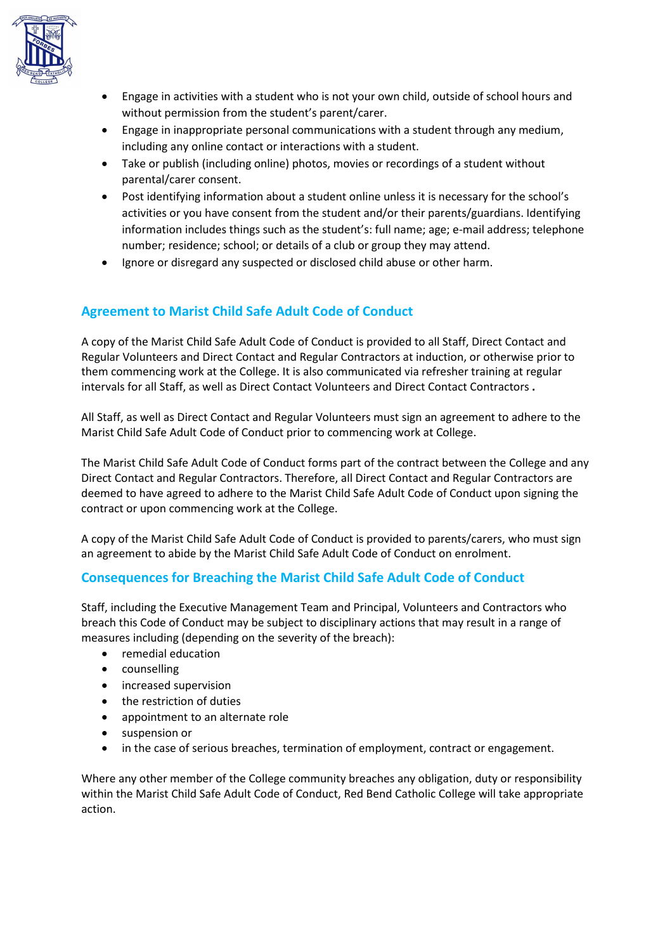

- Engage in activities with a student who is not your own child, outside of school hours and without permission from the student's parent/carer.
- Engage in inappropriate personal communications with a student through any medium, including any online contact or interactions with a student.
- Take or publish (including online) photos, movies or recordings of a student without parental/carer consent.
- Post identifying information about a student online unless it is necessary for the school's activities or you have consent from the student and/or their parents/guardians. Identifying information includes things such as the student's: full name; age; e-mail address; telephone number; residence; school; or details of a club or group they may attend.
- Ignore or disregard any suspected or disclosed child abuse or other harm.

## **Agreement to Marist Child Safe Adult Code of Conduct**

A copy of the Marist Child Safe Adult Code of Conduct is provided to all Staff, Direct Contact and Regular Volunteers and Direct Contact and Regular Contractors at induction, or otherwise prior to them commencing work at the College. It is also communicated via refresher training at regular intervals for all Staff, as well as Direct Contact Volunteers and Direct Contact Contractors **.**

All Staff, as well as Direct Contact and Regular Volunteers must sign an agreement to adhere to the Marist Child Safe Adult Code of Conduct prior to commencing work at College.

The Marist Child Safe Adult Code of Conduct forms part of the contract between the College and any Direct Contact and Regular Contractors. Therefore, all Direct Contact and Regular Contractors are deemed to have agreed to adhere to the Marist Child Safe Adult Code of Conduct upon signing the contract or upon commencing work at the College.

A copy of the Marist Child Safe Adult Code of Conduct is provided to parents/carers, who must sign an agreement to abide by the Marist Child Safe Adult Code of Conduct on enrolment.

### **Consequences for Breaching the Marist Child Safe Adult Code of Conduct**

Staff, including the Executive Management Team and Principal, Volunteers and Contractors who breach this Code of Conduct may be subject to disciplinary actions that may result in a range of measures including (depending on the severity of the breach):

- remedial education
- counselling
- increased supervision
- the restriction of duties
- appointment to an alternate role
- suspension or
- in the case of serious breaches, termination of employment, contract or engagement.

Where any other member of the College community breaches any obligation, duty or responsibility within the Marist Child Safe Adult Code of Conduct, Red Bend Catholic College will take appropriate action.